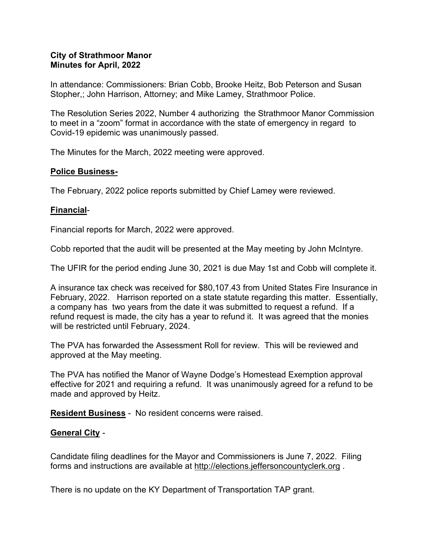# **City of Strathmoor Manor Minutes for April, 2022**

In attendance: Commissioners: Brian Cobb, Brooke Heitz, Bob Peterson and Susan Stopher,; John Harrison, Attorney; and Mike Lamey, Strathmoor Police.

The Resolution Series 2022, Number 4 authorizing the Strathmoor Manor Commission to meet in a "zoom" format in accordance with the state of emergency in regard to Covid-19 epidemic was unanimously passed.

The Minutes for the March, 2022 meeting were approved.

# **Police Business-**

The February, 2022 police reports submitted by Chief Lamey were reviewed.

# **Financial**-

Financial reports for March, 2022 were approved.

Cobb reported that the audit will be presented at the May meeting by John McIntyre.

The UFIR for the period ending June 30, 2021 is due May 1st and Cobb will complete it.

A insurance tax check was received for \$80,107.43 from United States Fire Insurance in February, 2022. Harrison reported on a state statute regarding this matter. Essentially, a company has two years from the date it was submitted to request a refund. If a refund request is made, the city has a year to refund it. It was agreed that the monies will be restricted until February, 2024.

The PVA has forwarded the Assessment Roll for review. This will be reviewed and approved at the May meeting.

The PVA has notified the Manor of Wayne Dodge's Homestead Exemption approval effective for 2021 and requiring a refund. It was unanimously agreed for a refund to be made and approved by Heitz.

**Resident Business** - No resident concerns were raised.

# **General City** -

Candidate filing deadlines for the Mayor and Commissioners is June 7, 2022. Filing forms and instructions are available at [http://elections.jeffersoncountyclerk.org](http://elections.jeffersoncountyclerk.org/) .

There is no update on the KY Department of Transportation TAP grant.